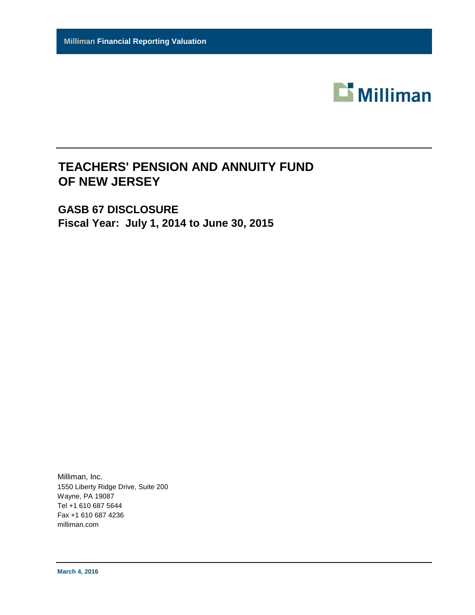

## **TEACHERS' PENSION AND ANNUITY FUND OF NEW JERSEY**

**GASB 67 DISCLOSURE Fiscal Year: July 1, 2014 to June 30, 2015**

Milliman, Inc. 1550 Liberty Ridge Drive, Suite 200 Wayne, PA 19087 Tel +1 610 687 5644 Fax +1 610 687 4236 milliman.com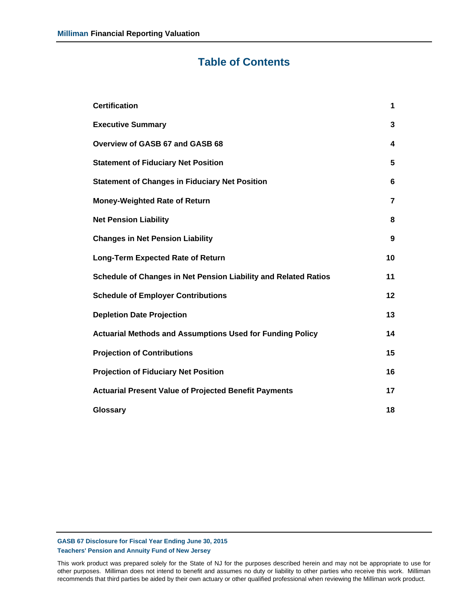## **Table of Contents**

| <b>Certification</b>                                             | 1              |
|------------------------------------------------------------------|----------------|
| <b>Executive Summary</b>                                         | 3              |
| Overview of GASB 67 and GASB 68                                  | 4              |
| <b>Statement of Fiduciary Net Position</b>                       | 5              |
| <b>Statement of Changes in Fiduciary Net Position</b>            | 6              |
| <b>Money-Weighted Rate of Return</b>                             | $\overline{7}$ |
| <b>Net Pension Liability</b>                                     | 8              |
| <b>Changes in Net Pension Liability</b>                          | 9              |
| <b>Long-Term Expected Rate of Return</b>                         | 10             |
| Schedule of Changes in Net Pension Liability and Related Ratios  | 11             |
| <b>Schedule of Employer Contributions</b>                        | 12             |
| <b>Depletion Date Projection</b>                                 | 13             |
| <b>Actuarial Methods and Assumptions Used for Funding Policy</b> | 14             |
| <b>Projection of Contributions</b>                               | 15             |
| <b>Projection of Fiduciary Net Position</b>                      | 16             |
| <b>Actuarial Present Value of Projected Benefit Payments</b>     | 17             |
| Glossary                                                         | 18             |

**GASB 67 Disclosure for Fiscal Year Ending June 30, 2015 Teachers' Pension and Annuity Fund of New Jersey**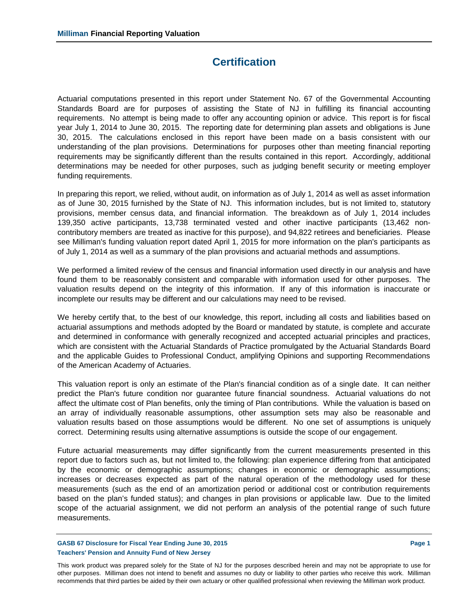## **Certification**

Actuarial computations presented in this report under Statement No. 67 of the Governmental Accounting Standards Board are for purposes of assisting the State of NJ in fulfilling its financial accounting requirements. No attempt is being made to offer any accounting opinion or advice. This report is for fiscal year July 1, 2014 to June 30, 2015. The reporting date for determining plan assets and obligations is June 30, 2015. The calculations enclosed in this report have been made on a basis consistent with our understanding of the plan provisions. Determinations for purposes other than meeting financial reporting requirements may be significantly different than the results contained in this report. Accordingly, additional determinations may be needed for other purposes, such as judging benefit security or meeting employer funding requirements.

In preparing this report, we relied, without audit, on information as of July 1, 2014 as well as asset information as of June 30, 2015 furnished by the State of NJ. This information includes, but is not limited to, statutory provisions, member census data, and financial information. The breakdown as of July 1, 2014 includes 139,350 active participants, 13,738 terminated vested and other inactive participants (13,462 noncontributory members are treated as inactive for this purpose), and 94,822 retirees and beneficiaries. Please see Milliman's funding valuation report dated April 1, 2015 for more information on the plan's participants as of July 1, 2014 as well as a summary of the plan provisions and actuarial methods and assumptions.

We performed a limited review of the census and financial information used directly in our analysis and have found them to be reasonably consistent and comparable with information used for other purposes. The valuation results depend on the integrity of this information. If any of this information is inaccurate or incomplete our results may be different and our calculations may need to be revised.

We hereby certify that, to the best of our knowledge, this report, including all costs and liabilities based on actuarial assumptions and methods adopted by the Board or mandated by statute, is complete and accurate and determined in conformance with generally recognized and accepted actuarial principles and practices, which are consistent with the Actuarial Standards of Practice promulgated by the Actuarial Standards Board and the applicable Guides to Professional Conduct, amplifying Opinions and supporting Recommendations of the American Academy of Actuaries.

This valuation report is only an estimate of the Plan's financial condition as of a single date. It can neither predict the Plan's future condition nor guarantee future financial soundness. Actuarial valuations do not affect the ultimate cost of Plan benefits, only the timing of Plan contributions. While the valuation is based on an array of individually reasonable assumptions, other assumption sets may also be reasonable and valuation results based on those assumptions would be different. No one set of assumptions is uniquely correct. Determining results using alternative assumptions is outside the scope of our engagement.

Future actuarial measurements may differ significantly from the current measurements presented in this report due to factors such as, but not limited to, the following: plan experience differing from that anticipated by the economic or demographic assumptions; changes in economic or demographic assumptions; increases or decreases expected as part of the natural operation of the methodology used for these measurements (such as the end of an amortization period or additional cost or contribution requirements based on the plan's funded status); and changes in plan provisions or applicable law. Due to the limited scope of the actuarial assignment, we did not perform an analysis of the potential range of such future measurements.

#### **GASB 67 Disclosure for Fiscal Year Ending June 30, 2015**  Page 1 **Teachers' Pension and Annuity Fund of New Jersey**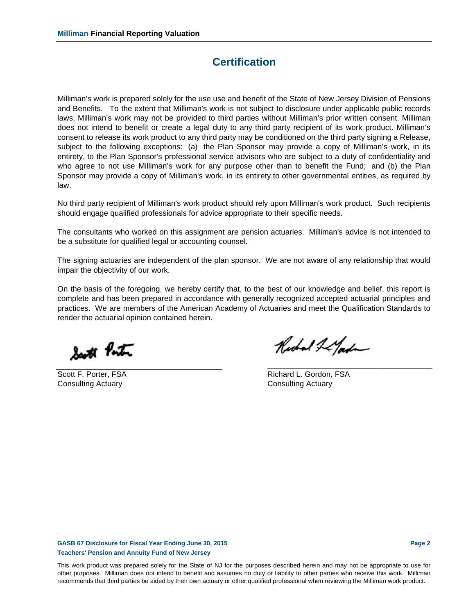## **Certification**

Milliman's work is prepared solely for the use use and benefit of the State of New Jersey Division of Pensions and Benefits. To the extent that Milliman's work is not subject to disclosure under applicable public records laws, Milliman's work may not be provided to third parties without Milliman's prior written consent. Milliman does not intend to benefit or create a legal duty to any third party recipient of its work product. Milliman's consent to release its work product to any third party may be conditioned on the third party signing a Release, subject to the following exceptions: (a) the Plan Sponsor may provide a copy of Milliman's work, in its entirety, to the Plan Sponsor's professional service advisors who are subject to a duty of confidentiality and who agree to not use Milliman's work for any purpose other than to benefit the Fund; and (b) the Plan Sponsor may provide a copy of Milliman's work, in its entirety,to other governmental entities, as required by law.

No third party recipient of Milliman's work product should rely upon Milliman's work product. Such recipients should engage qualified professionals for advice appropriate to their specific needs.

The consultants who worked on this assignment are pension actuaries. Milliman's advice is not intended to be a substitute for qualified legal or accounting counsel.

The signing actuaries are independent of the plan sponsor. We are not aware of any relationship that would impair the objectivity of our work.

On the basis of the foregoing, we hereby certify that, to the best of our knowledge and belief, this report is complete and has been prepared in accordance with generally recognized accepted actuarial principles and practices. We are members of the American Academy of Actuaries and meet the Qualification Standards to render the actuarial opinion contained herein.

South Ponton

Consulting Actuary Consulting Actuary

Richal & Gada

\_\_\_\_\_\_\_\_\_\_\_\_\_\_\_\_\_\_\_\_\_\_\_\_\_\_\_\_\_\_\_\_\_\_\_\_\_\_\_

Scott F. Porter, FSA **Richard L. Gordon, FSA** 

**GASB 67 Disclosure for Fiscal Year Ending June 30, 2015 Page 2 Teachers' Pension and Annuity Fund of New Jersey**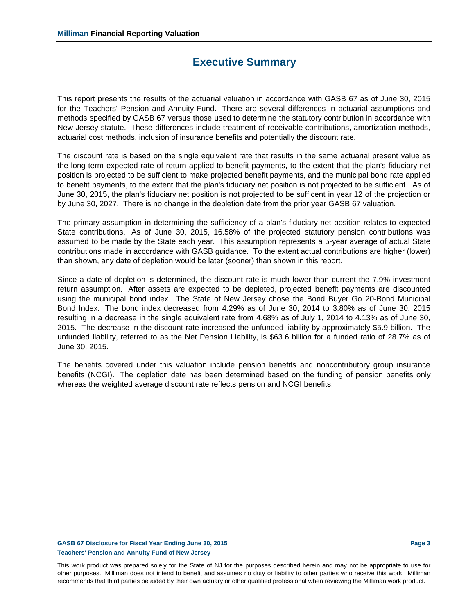## **Executive Summary**

This report presents the results of the actuarial valuation in accordance with GASB 67 as of June 30, 2015 for the Teachers' Pension and Annuity Fund. There are several differences in actuarial assumptions and methods specified by GASB 67 versus those used to determine the statutory contribution in accordance with New Jersey statute. These differences include treatment of receivable contributions, amortization methods, actuarial cost methods, inclusion of insurance benefits and potentially the discount rate.

The discount rate is based on the single equivalent rate that results in the same actuarial present value as the long-term expected rate of return applied to benefit payments, to the extent that the plan's fiduciary net position is projected to be sufficient to make projected benefit payments, and the municipal bond rate applied to benefit payments, to the extent that the plan's fiduciary net position is not projected to be sufficient. As of June 30, 2015, the plan's fiduciary net position is not projected to be sufficent in year 12 of the projection or by June 30, 2027. There is no change in the depletion date from the prior year GASB 67 valuation.

The primary assumption in determining the sufficiency of a plan's fiduciary net position relates to expected State contributions. As of June 30, 2015, 16.58% of the projected statutory pension contributions was assumed to be made by the State each year. This assumption represents a 5-year average of actual State contributions made in accordance with GASB guidance. To the extent actual contributions are higher (lower) than shown, any date of depletion would be later (sooner) than shown in this report.

Since a date of depletion is determined, the discount rate is much lower than current the 7.9% investment return assumption. After assets are expected to be depleted, projected benefit payments are discounted using the municipal bond index. The State of New Jersey chose the Bond Buyer Go 20-Bond Municipal Bond Index. The bond index decreased from 4.29% as of June 30, 2014 to 3.80% as of June 30, 2015 resulting in a decrease in the single equivalent rate from 4.68% as of July 1, 2014 to 4.13% as of June 30, 2015. The decrease in the discount rate increased the unfunded liability by approximately \$5.9 billion. The unfunded liability, referred to as the Net Pension Liability, is \$63.6 billion for a funded ratio of 28.7% as of June 30, 2015.

The benefits covered under this valuation include pension benefits and noncontributory group insurance benefits (NCGI). The depletion date has been determined based on the funding of pension benefits only whereas the weighted average discount rate reflects pension and NCGI benefits.

### **GASB 67 Disclosure for Fiscal Year Ending June 30, 2015 Page 3 Teachers' Pension and Annuity Fund of New Jersey**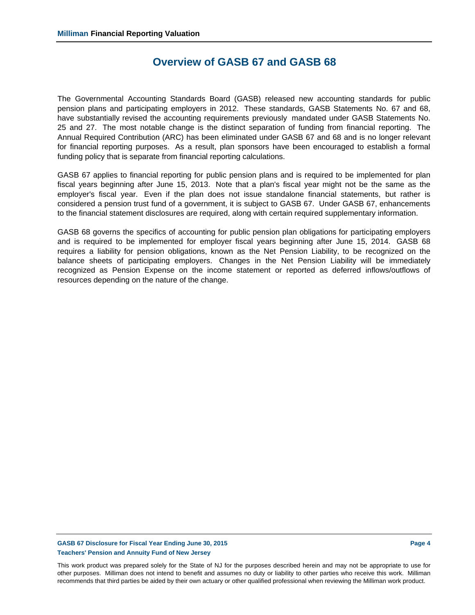## **Overview of GASB 67 and GASB 68**

The Governmental Accounting Standards Board (GASB) released new accounting standards for public pension plans and participating employers in 2012. These standards, GASB Statements No. 67 and 68, have substantially revised the accounting requirements previously mandated under GASB Statements No. 25 and 27. The most notable change is the distinct separation of funding from financial reporting. The Annual Required Contribution (ARC) has been eliminated under GASB 67 and 68 and is no longer relevant for financial reporting purposes. As a result, plan sponsors have been encouraged to establish a formal funding policy that is separate from financial reporting calculations.

GASB 67 applies to financial reporting for public pension plans and is required to be implemented for plan fiscal years beginning after June 15, 2013. Note that a plan's fiscal year might not be the same as the employer's fiscal year. Even if the plan does not issue standalone financial statements, but rather is considered a pension trust fund of a government, it is subject to GASB 67. Under GASB 67, enhancements to the financial statement disclosures are required, along with certain required supplementary information.

GASB 68 governs the specifics of accounting for public pension plan obligations for participating employers and is required to be implemented for employer fiscal years beginning after June 15, 2014. GASB 68 requires a liability for pension obligations, known as the Net Pension Liability, to be recognized on the balance sheets of participating employers. Changes in the Net Pension Liability will be immediately recognized as Pension Expense on the income statement or reported as deferred inflows/outflows of resources depending on the nature of the change.

## **GASB 67 Disclosure for Fiscal Year Ending June 30, 2015 Page 4 Teachers' Pension and Annuity Fund of New Jersey**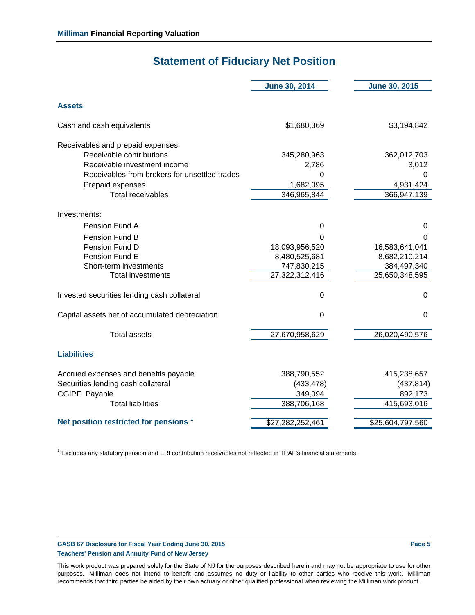## **Statement of Fiduciary Net Position**

|                                                                                                                                                                                                | <b>June 30, 2014</b>                                                                         | <b>June 30, 2015</b>                                                                   |
|------------------------------------------------------------------------------------------------------------------------------------------------------------------------------------------------|----------------------------------------------------------------------------------------------|----------------------------------------------------------------------------------------|
| <b>Assets</b>                                                                                                                                                                                  |                                                                                              |                                                                                        |
| Cash and cash equivalents                                                                                                                                                                      | \$1,680,369                                                                                  | \$3,194,842                                                                            |
| Receivables and prepaid expenses:<br>Receivable contributions<br>Receivable investment income<br>Receivables from brokers for unsettled trades<br>Prepaid expenses<br><b>Total receivables</b> | 345,280,963<br>2,786<br>0<br>1,682,095<br>346,965,844                                        | 362,012,703<br>3,012<br>0<br>4,931,424<br>366,947,139                                  |
| Investments:                                                                                                                                                                                   |                                                                                              |                                                                                        |
| Pension Fund A<br>Pension Fund B<br>Pension Fund D<br>Pension Fund E<br>Short-term investments<br><b>Total investments</b><br>Invested securities lending cash collateral                      | 0<br>0<br>18,093,956,520<br>8,480,525,681<br>747,830,215<br>27,322,312,416<br>$\overline{0}$ | 0<br>0<br>16,583,641,041<br>8,682,210,214<br>384,497,340<br>25,650,348,595<br>$\Omega$ |
| Capital assets net of accumulated depreciation                                                                                                                                                 | $\Omega$                                                                                     | $\Omega$                                                                               |
| <b>Total assets</b>                                                                                                                                                                            | 27,670,958,629                                                                               | 26,020,490,576                                                                         |
| <b>Liabilities</b>                                                                                                                                                                             |                                                                                              |                                                                                        |
| Accrued expenses and benefits payable<br>Securities lending cash collateral<br>CGIPF Payable<br><b>Total liabilities</b>                                                                       | 388,790,552<br>(433, 478)<br>349,094<br>388,706,168                                          | 415,238,657<br>(437, 814)<br>892,173<br>415,693,016                                    |
| Net position restricted for pensions '                                                                                                                                                         | \$27,282,252,461                                                                             | \$25,604,797,560                                                                       |

<sup>1</sup> Excludes any statutory pension and ERI contribution receivables not reflected in TPAF's financial statements.

### GASB 67 Disclosure for Fiscal Year Ending June 30, 2015 **Page 1 2016 Page 1** Page 5 **Teachers' Pension and Annuity Fund of New Jersey**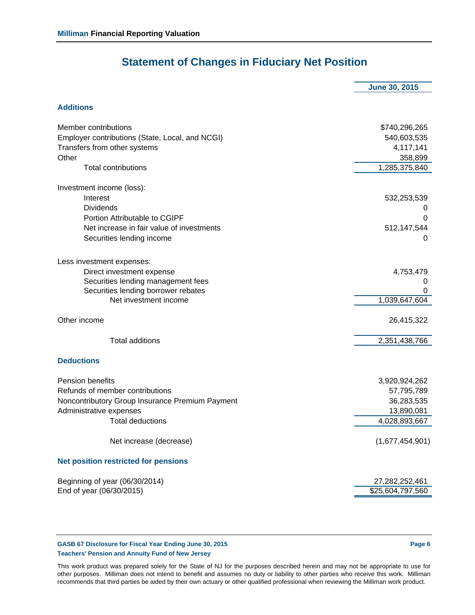## **Statement of Changes in Fiduciary Net Position**

|                                                 | <b>June 30, 2015</b> |
|-------------------------------------------------|----------------------|
| <b>Additions</b>                                |                      |
|                                                 |                      |
| <b>Member contributions</b>                     | \$740,296,265        |
| Employer contributions (State, Local, and NCGI) | 540,603,535          |
| Transfers from other systems                    | 4,117,141            |
| Other                                           | 358,899              |
| <b>Total contributions</b>                      | 1,285,375,840        |
| Investment income (loss):                       |                      |
| Interest                                        | 532,253,539          |
| <b>Dividends</b>                                |                      |
| Portion Attributable to CGIPF                   | 0                    |
| Net increase in fair value of investments       | 512,147,544          |
| Securities lending income                       | O                    |
| Less investment expenses:                       |                      |
| Direct investment expense                       | 4,753,479            |
| Securities lending management fees              | 0                    |
| Securities lending borrower rebates             | 0                    |
| Net investment income                           | 1,039,647,604        |
| Other income                                    | 26,415,322           |
| <b>Total additions</b>                          | 2,351,438,766        |
| <b>Deductions</b>                               |                      |
| <b>Pension benefits</b>                         | 3,920,924,262        |
| Refunds of member contributions                 | 57,795,789           |
| Noncontributory Group Insurance Premium Payment | 36,283,535           |
| Administrative expenses                         | 13,890,081           |
| <b>Total deductions</b>                         | 4,028,893,667        |
| Net increase (decrease)                         | (1,677,454,901)      |
| <b>Net position restricted for pensions</b>     |                      |
| Beginning of year (06/30/2014)                  | 27,282,252,461       |
| End of year (06/30/2015)                        | \$25,604,797,560     |

#### **GASB 67 Disclosure for Fiscal Year Ending June 30, 2015 Case 6 Assets that Case 6 Assets Page 6 Teachers' Pension and Annuity Fund of New Jersey**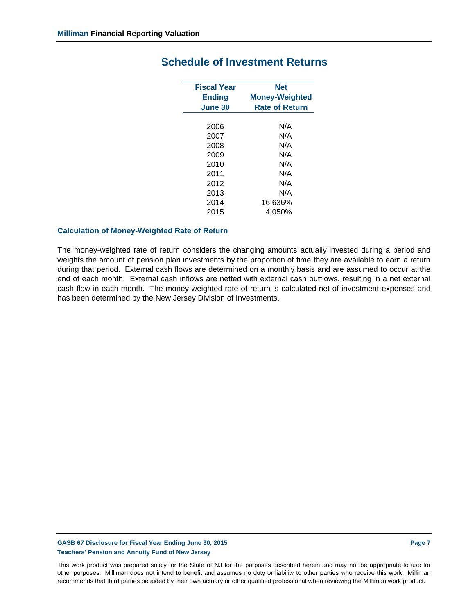| <b>Fiscal Year</b> | <b>Net</b>            |
|--------------------|-----------------------|
|                    |                       |
| Ending             | <b>Money-Weighted</b> |
| June 30            | <b>Rate of Return</b> |
|                    |                       |
| 2006               | N/A                   |
| 2007               | N/A                   |
| 2008               | N/A                   |
| 2009               | N/A                   |
| 2010               | N/A                   |
| 2011               | N/A                   |
| 2012               | N/A                   |
| 2013               | N/A                   |
| 2014               | 16.636%               |
| 2015               | 4.050%                |

## **Schedule of Investment Returns**

#### **Calculation of Money-Weighted Rate of Return**

The money-weighted rate of return considers the changing amounts actually invested during a period and weights the amount of pension plan investments by the proportion of time they are available to earn a return during that period. External cash flows are determined on a monthly basis and are assumed to occur at the end of each month. External cash inflows are netted with external cash outflows, resulting in a net external cash flow in each month. The money-weighted rate of return is calculated net of investment expenses and has been determined by the New Jersey Division of Investments.

#### **GASB 67 Disclosure for Fiscal Year Ending June 30, 2015 Page 7 Assets and Separate Page 7 Teachers' Pension and Annuity Fund of New Jersey**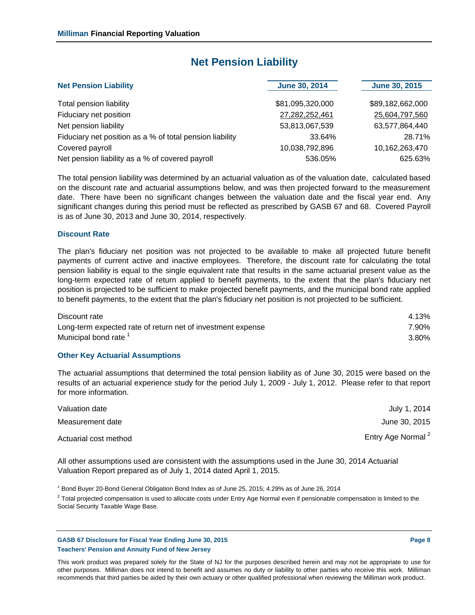## **Net Pension Liability**

| <b>Net Pension Liability</b>                             | <b>June 30, 2014</b> | <b>June 30, 2015</b> |  |
|----------------------------------------------------------|----------------------|----------------------|--|
| Total pension liability                                  | \$81,095,320,000     | \$89,182,662,000     |  |
| Fiduciary net position                                   | 27,282,252,461       | 25,604,797,560       |  |
| Net pension liability                                    | 53,813,067,539       | 63,577,864,440       |  |
| Fiduciary net position as a % of total pension liability | 33.64%               | 28.71%               |  |
| Covered payroll                                          | 10,038,792,896       | 10,162,263,470       |  |
| Net pension liability as a % of covered payroll          | 536.05%              | 625.63%              |  |

The total pension liability was determined by an actuarial valuation as of the valuation date, calculated based on the discount rate and actuarial assumptions below, and was then projected forward to the measurement date. There have been no significant changes between the valuation date and the fiscal year end. Any significant changes during this period must be reflected as prescribed by GASB 67 and 68. Covered Payroll is as of June 30, 2013 and June 30, 2014, respectively.

#### **Discount Rate**

The plan's fiduciary net position was not projected to be available to make all projected future benefit payments of current active and inactive employees. Therefore, the discount rate for calculating the total pension liability is equal to the single equivalent rate that results in the same actuarial present value as the long-term expected rate of return applied to benefit payments, to the extent that the plan's fiduciary net position is projected to be sufficient to make projected benefit payments, and the municipal bond rate applied to benefit payments, to the extent that the plan's fiduciary net position is not projected to be sufficient.

| Discount rate                                               | 4.13% |
|-------------------------------------------------------------|-------|
| Long-term expected rate of return net of investment expense | 7.90% |
| Municipal bond rate <sup>1</sup>                            | 3.80% |

#### **Other Key Actuarial Assumptions**

The actuarial assumptions that determined the total pension liability as of June 30, 2015 were based on the results of an actuarial experience study for the period July 1, 2009 - July 1, 2012. Please refer to that report for more information.

| Valuation date        | July 1, 2014                  |
|-----------------------|-------------------------------|
| Measurement date      | June 30, 2015                 |
| Actuarial cost method | Entry Age Normal <sup>2</sup> |

All other assumptions used are consistent with the assumptions used in the June 30, 2014 Actuarial Valuation Report prepared as of July 1, 2014 dated April 1, 2015.

<sup>1</sup> Bond Buyer 20-Bond General Obligation Bond Index as of June 25, 2015; 4.29% as of June 26, 2014

 $^2$  Total projected compensation is used to allocate costs under Entry Age Normal even if pensionable compensation is limited to the Social Security Taxable Wage Base.

**GASB 67 Disclosure for Fiscal Year Ending June 30, 2015 Page 8 Teachers' Pension and Annuity Fund of New Jersey**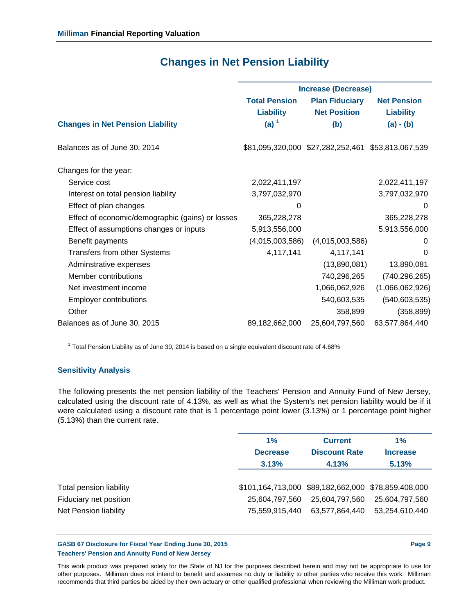|                                                  | <b>Increase (Decrease)</b> |                                                    |                    |  |
|--------------------------------------------------|----------------------------|----------------------------------------------------|--------------------|--|
|                                                  | <b>Total Pension</b>       | <b>Plan Fiduciary</b>                              | <b>Net Pension</b> |  |
|                                                  | <b>Liability</b>           | <b>Net Position</b>                                | <b>Liability</b>   |  |
| <b>Changes in Net Pension Liability</b>          | (a) $1$                    | (b)                                                | $(a) - (b)$        |  |
|                                                  |                            |                                                    |                    |  |
| Balances as of June 30, 2014                     |                            | \$81,095,320,000 \$27,282,252,461 \$53,813,067,539 |                    |  |
|                                                  |                            |                                                    |                    |  |
| Changes for the year:                            |                            |                                                    |                    |  |
| Service cost                                     | 2,022,411,197              |                                                    | 2,022,411,197      |  |
| Interest on total pension liability              | 3,797,032,970              |                                                    | 3,797,032,970      |  |
| Effect of plan changes                           | 0                          |                                                    | 0                  |  |
| Effect of economic/demographic (gains) or losses | 365,228,278                |                                                    | 365,228,278        |  |
| Effect of assumptions changes or inputs          | 5,913,556,000              |                                                    | 5,913,556,000      |  |
| Benefit payments                                 | (4,015,003,586)            | (4,015,003,586)                                    | 0                  |  |
| Transfers from other Systems                     | 4,117,141                  | 4,117,141                                          | $\Omega$           |  |
| Adminstrative expenses                           |                            | (13,890,081)                                       | 13,890,081         |  |
| Member contributions                             |                            | 740,296,265                                        | (740, 296, 265)    |  |
| Net investment income                            |                            | 1,066,062,926                                      | (1,066,062,926)    |  |
| <b>Employer contributions</b>                    |                            | 540,603,535                                        | (540, 603, 535)    |  |
| Other                                            |                            | 358,899                                            | (358, 899)         |  |
| Balances as of June 30, 2015                     | 89,182,662,000             | 25,604,797,560                                     | 63,577,864,440     |  |
|                                                  |                            |                                                    |                    |  |

## **Changes in Net Pension Liability**

 $<sup>1</sup>$  Total Pension Liability as of June 30, 2014 is based on a single equivalent discount rate of 4.68%</sup>

## **Sensitivity Analysis**

The following presents the net pension liability of the Teachers' Pension and Annuity Fund of New Jersey, calculated using the discount rate of 4.13%, as well as what the System's net pension liability would be if it were calculated using a discount rate that is 1 percentage point lower (3.13%) or 1 percentage point higher (5.13%) than the current rate.

|                         | 1%                                                  | <b>Current</b>       |                 |
|-------------------------|-----------------------------------------------------|----------------------|-----------------|
|                         | <b>Decrease</b>                                     | <b>Discount Rate</b> | <b>Increase</b> |
|                         | 3.13%                                               | 4.13%                | 5.13%           |
|                         |                                                     |                      |                 |
| Total pension liability | \$101,164,713,000 \$89,182,662,000 \$78,859,408,000 |                      |                 |
| Fiduciary net position  | 25,604,797,560                                      | 25,604,797,560       | 25,604,797,560  |
| Net Pension liability   | 75,559,915,440                                      | 63,577,864,440       | 53,254,610,440  |
|                         |                                                     |                      |                 |

#### **GASB 67 Disclosure for Fiscal Year Ending June 30, 2015 Page 9 Teachers' Pension and Annuity Fund of New Jersey**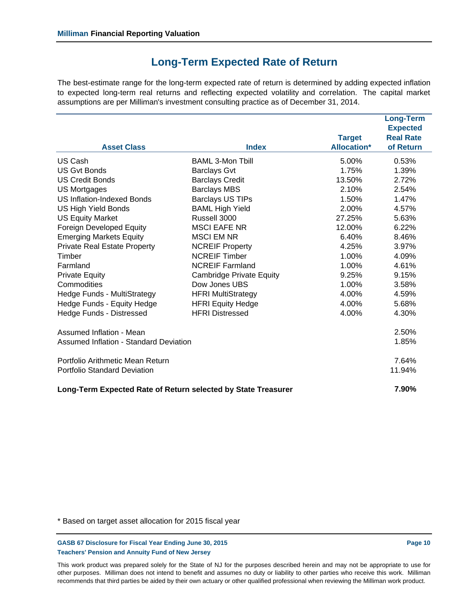## **Long-Term Expected Rate of Return**

The best-estimate range for the long-term expected rate of return is determined by adding expected inflation to expected long-term real returns and reflecting expected volatility and correlation. The capital market assumptions are per Milliman's investment consulting practice as of December 31, 2014.

|                                                               |                                 | <b>Target</b>      | <b>Long-Term</b><br><b>Expected</b><br><b>Real Rate</b> |
|---------------------------------------------------------------|---------------------------------|--------------------|---------------------------------------------------------|
| <b>Asset Class</b>                                            | <b>Index</b>                    | <b>Allocation*</b> | of Return                                               |
| US Cash                                                       | <b>BAML 3-Mon Tbill</b>         | 5.00%              | 0.53%                                                   |
| <b>US Gyt Bonds</b>                                           | <b>Barclays Gvt</b>             | 1.75%              | 1.39%                                                   |
| <b>US Credit Bonds</b>                                        | <b>Barclays Credit</b>          | 13.50%             | 2.72%                                                   |
| <b>US Mortgages</b>                                           | <b>Barclays MBS</b>             | 2.10%              | 2.54%                                                   |
| <b>US Inflation-Indexed Bonds</b>                             | <b>Barclays US TIPs</b>         | 1.50%              | 1.47%                                                   |
| <b>US High Yield Bonds</b>                                    | <b>BAML High Yield</b>          | 2.00%              | 4.57%                                                   |
| <b>US Equity Market</b>                                       | Russell 3000                    | 27.25%             | 5.63%                                                   |
| Foreign Developed Equity                                      | <b>MSCI EAFE NR</b>             | 12.00%             | 6.22%                                                   |
| <b>Emerging Markets Equity</b>                                | <b>MSCI EM NR</b>               | 6.40%              | 8.46%                                                   |
| <b>Private Real Estate Property</b>                           | <b>NCREIF Property</b>          | 4.25%              | 3.97%                                                   |
| Timber                                                        | <b>NCREIF Timber</b>            | 1.00%              | 4.09%                                                   |
| Farmland                                                      | <b>NCREIF Farmland</b>          | 1.00%              | 4.61%                                                   |
| <b>Private Equity</b>                                         | <b>Cambridge Private Equity</b> | 9.25%              | 9.15%                                                   |
| Commodities                                                   | Dow Jones UBS                   | $1.00\%$           | 3.58%                                                   |
| Hedge Funds - MultiStrategy                                   | <b>HFRI MultiStrategy</b>       | 4.00%              | 4.59%                                                   |
| Hedge Funds - Equity Hedge                                    | <b>HFRI Equity Hedge</b>        | 4.00%              | 5.68%                                                   |
| Hedge Funds - Distressed                                      | <b>HFRI Distressed</b>          | 4.00%              | 4.30%                                                   |
| Assumed Inflation - Mean                                      |                                 |                    | 2.50%                                                   |
| <b>Assumed Inflation - Standard Deviation</b>                 |                                 |                    | 1.85%                                                   |
| Portfolio Arithmetic Mean Return                              |                                 |                    | 7.64%                                                   |
| <b>Portfolio Standard Deviation</b>                           |                                 |                    | 11.94%                                                  |
| Long-Term Expected Rate of Return selected by State Treasurer |                                 |                    | 7.90%                                                   |

\* Based on target asset allocation for 2015 fiscal year

GASB 67 Disclosure for Fiscal Year Ending June 30, 2015 **Page 10 Page 10 Page 10 Teachers' Pension and Annuity Fund of New Jersey**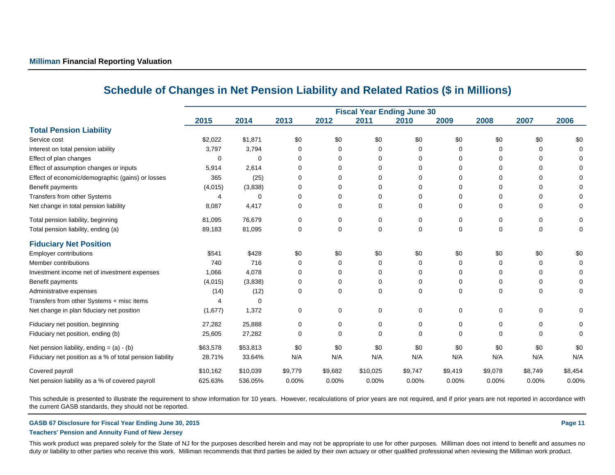|                                                          | 2015     | 2014     | 2013     | 2012         | <b>Fiscal Year Ending June 30</b><br>2011 | 2010     | 2009    | 2008     | 2007     | 2006    |
|----------------------------------------------------------|----------|----------|----------|--------------|-------------------------------------------|----------|---------|----------|----------|---------|
| <b>Total Pension Liability</b>                           |          |          |          |              |                                           |          |         |          |          |         |
| Service cost                                             | \$2,022  | \$1,871  | \$0      | \$0          | \$0                                       | \$0      | \$0     | \$0      | \$0      | \$0     |
| Interest on total pension iability                       | 3,797    | 3,794    | $\Omega$ |              | $\Omega$                                  | $\Omega$ | 0       | 0        | $\Omega$ |         |
| Effect of plan changes                                   | $\Omega$ | 0        | $\Omega$ | <sup>0</sup> | 0                                         | $\Omega$ | 0       | ŋ        | $\Omega$ |         |
| Effect of assumption changes or inputs                   | 5,914    | 2,614    | $\Omega$ |              | 0                                         | 0        | 0       | O        | $\Omega$ |         |
| Effect of economic/demographic (gains) or losses         | 365      | (25)     | $\Omega$ | <sup>0</sup> | 0                                         | $\Omega$ | 0       | ŋ        | $\Omega$ |         |
| Benefit payments                                         | (4,015)  | (3,838)  | $\Omega$ |              | 0                                         | 0        | 0       | 0        | $\Omega$ |         |
| Transfers from other Systems                             |          | 0        | $\Omega$ | 0            | 0                                         | 0        | 0       | ŋ        | 0        |         |
| Net change in total pension liability                    | 8,087    | 4,417    | 0        | 0            | 0                                         | 0        | 0       | 0        | 0        |         |
| Total pension liability, beginning                       | 81,095   | 76,679   | 0        | $\Omega$     | 0                                         | 0        | 0       | 0        | $\Omega$ | 0       |
| Total pension liability, ending (a)                      | 89,183   | 81,095   | 0        | 0            | 0                                         | 0        | 0       | 0        | $\Omega$ | 0       |
| <b>Fiduciary Net Position</b>                            |          |          |          |              |                                           |          |         |          |          |         |
| <b>Employer contributions</b>                            | \$541    | \$428    | \$0      | \$0          | \$0                                       | \$0      | \$0     | \$0      | \$0      | \$0     |
| Member contributions                                     | 740      | 716      | 0        |              | 0                                         | 0        | 0       | 0        | 0        |         |
| Investment income net of investment expenses             | 1,066    | 4,078    | 0        | $\Omega$     | $\Omega$                                  | 0        | 0       | 0        | $\Omega$ |         |
| Benefit payments                                         | (4,015)  | (3,838)  | 0        | 0            | 0                                         | 0        | 0       | 0        | 0        |         |
| Administrative expenses                                  | (14)     | (12)     | 0        | 0            | 0                                         | 0        | 0       | $\Omega$ | $\Omega$ | 0       |
| Transfers from other Systems + misc items                |          | 0        |          |              |                                           |          |         |          |          |         |
| Net change in plan fiduciary net position                | (1,677)  | 1,372    | 0        | 0            | 0                                         | 0        | 0       | 0        | 0        | 0       |
| Fiduciary net position, beginning                        | 27,282   | 25,888   | 0        | 0            | 0                                         | 0        | 0       | 0        | 0        | 0       |
| Fiduciary net position, ending (b)                       | 25,605   | 27,282   | 0        | 0            | 0                                         | $\Omega$ | 0       | $\Omega$ | ∩        | 0       |
| Net pension liability, ending = $(a) - (b)$              | \$63,578 | \$53,813 | \$0      | \$0          | \$0                                       | \$0      | \$0     | \$0      | \$0      | \$0     |
| Fiduciary net position as a % of total pension liability | 28.71%   | 33.64%   | N/A      | N/A          | N/A                                       | N/A      | N/A     | N/A      | N/A      | N/A     |
| Covered payroll                                          | \$10,162 | \$10,039 | \$9,779  | \$9,682      | \$10,025                                  | \$9,747  | \$9,419 | \$9,078  | \$8,749  | \$8,454 |
| Net pension liability as a % of covered payroll          | 625.63%  | 536.05%  | 0.00%    | 0.00%        | 0.00%                                     | 0.00%    | 0.00%   | 0.00%    | 0.00%    | 0.00%   |

## **Schedule of Changes in Net Pension Liability and Related Ratios (\$ in Millions)**

This schedule is presented to illustrate the requirement to show information for 10 years. However, recalculations of prior years are not required, and if prior years are not reported in accordance with the current GASB standards, they should not be reported.

#### **GASB 67 Disclosure for Fiscal Year Ending June 30, 2015 Page 11**

#### **Teachers' Pension and Annuity Fund of New Jersey**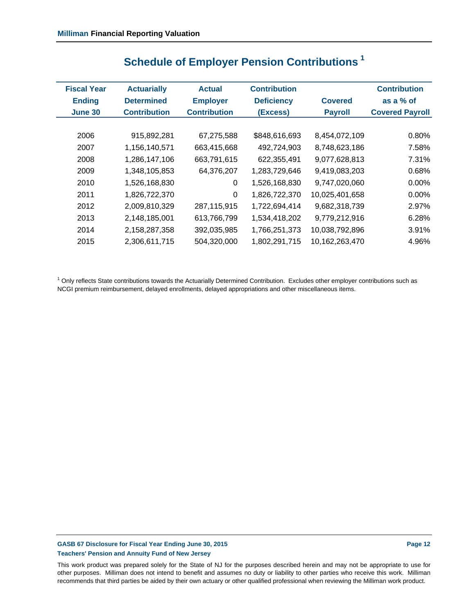| <b>Fiscal Year</b> | <b>Actuarially</b>  | <b>Actual</b>       | <b>Contribution</b>        |                | <b>Contribution</b>    |
|--------------------|---------------------|---------------------|----------------------------|----------------|------------------------|
| <b>Ending</b>      | <b>Determined</b>   | <b>Employer</b>     | <b>Deficiency</b>          | <b>Covered</b> | as a $%$ of            |
| <b>June 30</b>     | <b>Contribution</b> | <b>Contribution</b> | (Excess)<br><b>Payroll</b> |                | <b>Covered Payroll</b> |
|                    |                     |                     |                            |                |                        |
| 2006               | 915,892,281         | 67,275,588          | \$848,616,693              | 8,454,072,109  | 0.80%                  |
| 2007               | 1,156,140,571       | 663,415,668         | 492,724,903                | 8,748,623,186  | 7.58%                  |
| 2008               | 1,286,147,106       | 663,791,615         | 622,355,491                | 9,077,628,813  | 7.31%                  |
| 2009               | 1,348,105,853       | 64,376,207          | 1,283,729,646              | 9,419,083,203  | 0.68%                  |
| 2010               | 1,526,168,830       | 0                   | 1,526,168,830              | 9,747,020,060  | 0.00%                  |
| 2011               | 1,826,722,370       | 0                   | 1,826,722,370              | 10,025,401,658 | $0.00\%$               |
| 2012               | 2,009,810,329       | 287,115,915         | 1,722,694,414              | 9,682,318,739  | 2.97%                  |
| 2013               | 2,148,185,001       | 613,766,799         | 1,534,418,202              | 9,779,212,916  | 6.28%                  |
| 2014               | 2,158,287,358       | 392,035,985         | 1,766,251,373              | 10,038,792,896 | 3.91%                  |
| 2015               | 2,306,611,715       | 504,320,000         | 1,802,291,715              | 10,162,263,470 | 4.96%                  |
|                    |                     |                     |                            |                |                        |

## **Schedule of Employer Pension Contributions 1**

<sup>1</sup> Only reflects State contributions towards the Actuarially Determined Contribution. Excludes other employer contributions such as NCGI premium reimbursement, delayed enrollments, delayed appropriations and other miscellaneous items.

## GASB 67 Disclosure for Fiscal Year Ending June 30, 2015 **Page 12 Page 12 Page 12 Teachers' Pension and Annuity Fund of New Jersey**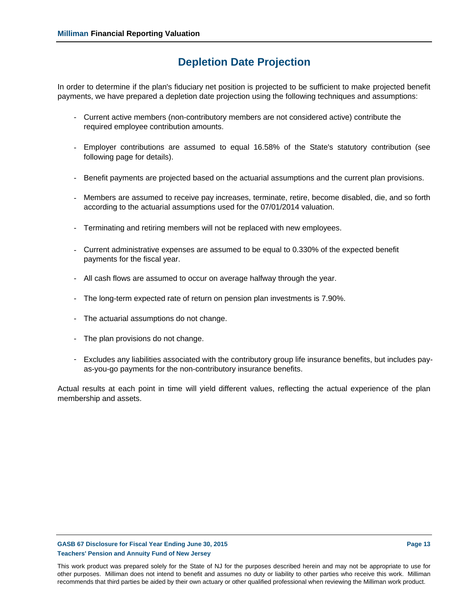## **Depletion Date Projection**

In order to determine if the plan's fiduciary net position is projected to be sufficient to make projected benefit payments, we have prepared a depletion date projection using the following techniques and assumptions:

- Current active members (non-contributory members are not considered active) contribute the required employee contribution amounts.
- Employer contributions are assumed to equal 16.58% of the State's statutory contribution (see following page for details).
- Benefit payments are projected based on the actuarial assumptions and the current plan provisions.
- Members are assumed to receive pay increases, terminate, retire, become disabled, die, and so forth according to the actuarial assumptions used for the 07/01/2014 valuation.
- Terminating and retiring members will not be replaced with new employees.
- Current administrative expenses are assumed to be equal to 0.330% of the expected benefit payments for the fiscal year.
- All cash flows are assumed to occur on average halfway through the year.
- The long-term expected rate of return on pension plan investments is 7.90%.
- The actuarial assumptions do not change.
- The plan provisions do not change.
- Excludes any liabilities associated with the contributory group life insurance benefits, but includes payas-you-go payments for the non-contributory insurance benefits.

Actual results at each point in time will yield different values, reflecting the actual experience of the plan membership and assets.

#### GASB 67 Disclosure for Fiscal Year Ending June 30, 2015 **Page 13 Page 13 Teachers' Pension and Annuity Fund of New Jersey**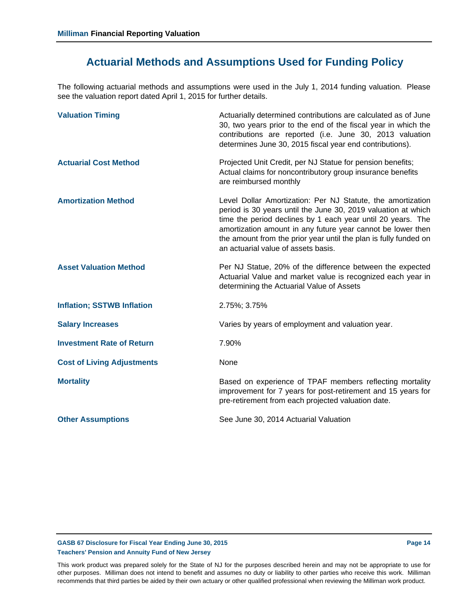## **Actuarial Methods and Assumptions Used for Funding Policy**

The following actuarial methods and assumptions were used in the July 1, 2014 funding valuation. Please see the valuation report dated April 1, 2015 for further details.

| <b>Valuation Timing</b>           | Actuarially determined contributions are calculated as of June<br>30, two years prior to the end of the fiscal year in which the<br>contributions are reported (i.e. June 30, 2013 valuation<br>determines June 30, 2015 fiscal year end contributions).                                                                                                              |
|-----------------------------------|-----------------------------------------------------------------------------------------------------------------------------------------------------------------------------------------------------------------------------------------------------------------------------------------------------------------------------------------------------------------------|
| <b>Actuarial Cost Method</b>      | Projected Unit Credit, per NJ Statue for pension benefits;<br>Actual claims for noncontributory group insurance benefits<br>are reimbursed monthly                                                                                                                                                                                                                    |
| <b>Amortization Method</b>        | Level Dollar Amortization: Per NJ Statute, the amortization<br>period is 30 years until the June 30, 2019 valuation at which<br>time the period declines by 1 each year until 20 years. The<br>amortization amount in any future year cannot be lower then<br>the amount from the prior year until the plan is fully funded on<br>an actuarial value of assets basis. |
| <b>Asset Valuation Method</b>     | Per NJ Statue, 20% of the difference between the expected<br>Actuarial Value and market value is recognized each year in<br>determining the Actuarial Value of Assets                                                                                                                                                                                                 |
| <b>Inflation; SSTWB Inflation</b> | 2.75%; 3.75%                                                                                                                                                                                                                                                                                                                                                          |
| <b>Salary Increases</b>           | Varies by years of employment and valuation year.                                                                                                                                                                                                                                                                                                                     |
| <b>Investment Rate of Return</b>  | 7.90%                                                                                                                                                                                                                                                                                                                                                                 |
| <b>Cost of Living Adjustments</b> | None                                                                                                                                                                                                                                                                                                                                                                  |
| <b>Mortality</b>                  | Based on experience of TPAF members reflecting mortality<br>improvement for 7 years for post-retirement and 15 years for<br>pre-retirement from each projected valuation date.                                                                                                                                                                                        |
| <b>Other Assumptions</b>          | See June 30, 2014 Actuarial Valuation                                                                                                                                                                                                                                                                                                                                 |

#### GASB 67 Disclosure for Fiscal Year Ending June 30, 2015 **Page 14 Page 14 Page 14 Teachers' Pension and Annuity Fund of New Jersey**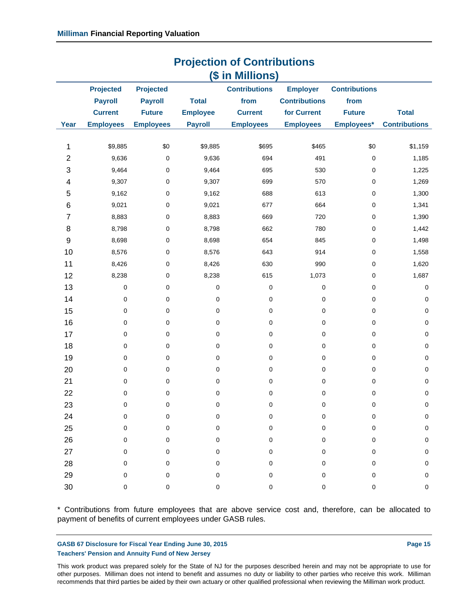|                           | - 13<br>(\$ in Millions) |                  |                 |                      |                      |                        |                      |
|---------------------------|--------------------------|------------------|-----------------|----------------------|----------------------|------------------------|----------------------|
|                           | <b>Projected</b>         | <b>Projected</b> |                 | <b>Contributions</b> | <b>Employer</b>      | <b>Contributions</b>   |                      |
|                           | <b>Payroll</b>           | <b>Payroll</b>   | <b>Total</b>    | from                 | <b>Contributions</b> | from                   |                      |
|                           | <b>Current</b>           | <b>Future</b>    | <b>Employee</b> | <b>Current</b>       | for Current          | <b>Future</b>          | <b>Total</b>         |
| Year                      | <b>Employees</b>         | <b>Employees</b> | <b>Payroll</b>  | <b>Employees</b>     | <b>Employees</b>     | Employees*             | <b>Contributions</b> |
| 1                         | \$9,885                  | \$0              | \$9,885         | \$695                | \$465                | \$0                    | \$1,159              |
| $\overline{2}$            | 9,636                    | $\pmb{0}$        | 9,636           | 694                  | 491                  | $\pmb{0}$              | 1,185                |
| $\ensuremath{\mathsf{3}}$ | 9,464                    | 0                | 9,464           | 695                  | 530                  | $\pmb{0}$              | 1,225                |
|                           |                          |                  |                 | 699                  |                      |                        |                      |
| 4                         | 9,307                    | 0                | 9,307           | 688                  | 570                  | $\pmb{0}$              | 1,269                |
| 5                         | 9,162                    | 0                | 9,162           | 677                  | 613                  | $\pmb{0}$<br>$\pmb{0}$ | 1,300                |
| 6                         | 9,021                    | 0                | 9,021           |                      | 664                  |                        | 1,341                |
| $\overline{7}$            | 8,883                    | 0                | 8,883           | 669                  | 720                  | $\pmb{0}$              | 1,390                |
| 8                         | 8,798                    | 0                | 8,798           | 662                  | 780                  | $\pmb{0}$              | 1,442                |
| 9                         | 8,698                    | 0                | 8,698           | 654                  | 845                  | $\pmb{0}$              | 1,498                |
| 10                        | 8,576                    | 0                | 8,576           | 643                  | 914                  | $\pmb{0}$              | 1,558                |
| 11                        | 8,426                    | 0                | 8,426           | 630                  | 990                  | $\pmb{0}$              | 1,620                |
| 12                        | 8,238                    | 0                | 8,238           | 615                  | 1,073                | $\pmb{0}$              | 1,687                |
| 13                        | $\mathbf 0$              | 0                | $\pmb{0}$       | $\pmb{0}$            | 0                    | $\pmb{0}$              | $\pmb{0}$            |
| 14                        | 0                        | 0                | $\pmb{0}$       | $\pmb{0}$            | 0                    | $\pmb{0}$              | $\pmb{0}$            |
| 15                        | 0                        | 0                | $\pmb{0}$       | $\pmb{0}$            | 0                    | $\pmb{0}$              | $\pmb{0}$            |
| 16                        | 0                        | 0                | 0               | 0                    | 0                    | $\pmb{0}$              | $\pmb{0}$            |
| 17                        | $\pmb{0}$                | 0                | $\pmb{0}$       | $\pmb{0}$            | 0                    | $\pmb{0}$              | $\pmb{0}$            |
| 18                        | 0                        | 0                | $\pmb{0}$       | 0                    | 0                    | $\pmb{0}$              | $\pmb{0}$            |
| 19                        | 0                        | 0                | $\pmb{0}$       | $\pmb{0}$            | 0                    | $\pmb{0}$              | $\pmb{0}$            |
| 20                        | 0                        | 0                | 0               | 0                    | 0                    | $\pmb{0}$              | $\pmb{0}$            |
| 21                        | $\pmb{0}$                | 0                | $\pmb{0}$       | $\pmb{0}$            | 0                    | $\pmb{0}$              | $\pmb{0}$            |
| 22                        | 0                        | 0                | 0               | 0                    | 0                    | $\pmb{0}$              | $\pmb{0}$            |
| 23                        | 0                        | 0                | $\mathbf 0$     | 0                    | $\pmb{0}$            | $\pmb{0}$              | $\pmb{0}$            |
| 24                        | 0                        | 0                | 0               | 0                    | 0                    | 0                      | 0                    |
| 25                        | 0                        | 0                | 0               | 0                    | 0                    | 0                      | 0                    |
| 26                        | 0                        | 0                | 0               | 0                    | 0                    | 0                      | $\pmb{0}$            |
| 27                        | 0                        | 0                | 0               | 0                    | 0                    | 0                      | $\pmb{0}$            |
| 28                        | 0                        | 0                | 0               | 0                    | 0                    | 0                      | 0                    |
| 29                        | 0                        | 0                | 0               | $\pmb{0}$            | $\pmb{0}$            | 0                      | $\pmb{0}$            |
| 30                        | 0                        | $\mathsf 0$      | 0               | $\mathsf 0$          | $\mathsf 0$          | $\mathsf 0$            | $\mathbf 0$          |

**Projection of Contributions**

\* Contributions from future employees that are above service cost and, therefore, can be allocated to payment of benefits of current employees under GASB rules.

#### GASB 67 Disclosure for Fiscal Year Ending June 30, 2015 **Page 15** Page 15 **Teachers' Pension and Annuity Fund of New Jersey**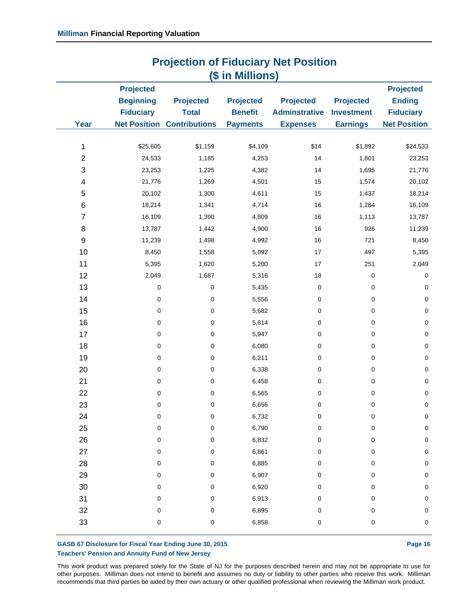| <b>Projection of Figurial y Tech Conform</b><br>(\$ in Millions) |                                                          |                                                                       |                                                       |                                                             |                                                          |                                                                              |
|------------------------------------------------------------------|----------------------------------------------------------|-----------------------------------------------------------------------|-------------------------------------------------------|-------------------------------------------------------------|----------------------------------------------------------|------------------------------------------------------------------------------|
| <b>Year</b>                                                      | <b>Projected</b><br><b>Beginning</b><br><b>Fiduciary</b> | <b>Projected</b><br><b>Total</b><br><b>Net Position Contributions</b> | <b>Projected</b><br><b>Benefit</b><br><b>Payments</b> | <b>Projected</b><br><b>Adminstrative</b><br><b>Expenses</b> | <b>Projected</b><br><b>Investment</b><br><b>Earnings</b> | <b>Projected</b><br><b>Ending</b><br><b>Fiduciary</b><br><b>Net Position</b> |
|                                                                  |                                                          |                                                                       |                                                       |                                                             |                                                          |                                                                              |
| 1                                                                | \$25,605                                                 | \$1,159                                                               | \$4,109                                               | \$14                                                        | \$1,892                                                  | \$24,533                                                                     |
| $\boldsymbol{2}$                                                 | 24,533                                                   | 1,185                                                                 | 4,253                                                 | 14                                                          | 1,801                                                    | 23,253                                                                       |
| 3                                                                | 23,253                                                   | 1,225                                                                 | 4,382                                                 | 14                                                          | 1,695                                                    | 21,776                                                                       |
| 4                                                                | 21,776                                                   | 1,269                                                                 | 4,501                                                 | 15                                                          | 1,574                                                    | 20,102                                                                       |
| 5                                                                | 20,102                                                   | 1,300                                                                 | 4,611                                                 | 15                                                          | 1,437                                                    | 18,214                                                                       |
| 6                                                                | 18,214                                                   | 1,341                                                                 | 4,714                                                 | 16                                                          | 1,284                                                    | 16,109                                                                       |
| $\overline{\mathcal{I}}$                                         | 16,109                                                   | 1,390                                                                 | 4,809                                                 | 16                                                          | 1,113                                                    | 13,787                                                                       |
| 8                                                                | 13,787                                                   | 1,442                                                                 | 4,900                                                 | 16                                                          | 926                                                      | 11,239                                                                       |
| $\boldsymbol{9}$                                                 | 11,239                                                   | 1,498                                                                 | 4,992                                                 | 16                                                          | 721                                                      | 8,450                                                                        |
| 10                                                               | 8,450                                                    | 1,558                                                                 | 5,092                                                 | 17                                                          | 497                                                      | 5,395                                                                        |
| 11                                                               | 5,395                                                    | 1,620                                                                 | 5,200                                                 | 17                                                          | 251                                                      | 2,049                                                                        |
| 12                                                               | 2,049                                                    | 1,687                                                                 | 5,316                                                 | $18$                                                        | $\mathsf 0$                                              | 0                                                                            |
| 13                                                               | 0                                                        | $\pmb{0}$                                                             | 5,435                                                 | 0                                                           | $\mathsf 0$                                              | $\pmb{0}$                                                                    |
| 14                                                               | 0                                                        | $\mathbf 0$                                                           | 5,556                                                 | 0                                                           | $\mathsf 0$                                              | $\pmb{0}$                                                                    |
| 15                                                               | 0                                                        | $\pmb{0}$                                                             | 5,682                                                 | 0                                                           | 0                                                        | $\pmb{0}$                                                                    |
| 16                                                               | 0                                                        | $\pmb{0}$                                                             | 5,814                                                 | 0                                                           | $\mathsf 0$                                              | $\pmb{0}$                                                                    |
| 17                                                               | 0                                                        | $\pmb{0}$                                                             | 5,947                                                 | 0                                                           | $\mathsf 0$                                              | $\pmb{0}$                                                                    |
| 18                                                               | 0                                                        | $\pmb{0}$                                                             | 6,080                                                 | 0                                                           | $\mathsf 0$                                              | $\pmb{0}$                                                                    |
| 19                                                               | 0                                                        | $\pmb{0}$                                                             | 6,211                                                 | 0                                                           | $\mathsf 0$                                              | $\mathbf 0$                                                                  |
| 20                                                               | 0                                                        | $\mathbf 0$                                                           | 6,338                                                 | 0                                                           | $\mathsf 0$                                              | $\pmb{0}$                                                                    |
| 21                                                               | 0                                                        | $\pmb{0}$                                                             | 6,458                                                 | 0                                                           | $\mathsf 0$                                              | $\pmb{0}$                                                                    |
| 22                                                               | 0                                                        | $\pmb{0}$                                                             | 6,565                                                 | 0                                                           | $\mathsf 0$                                              | $\pmb{0}$                                                                    |
| 23                                                               | 0                                                        | $\pmb{0}$                                                             | 6,656                                                 | 0                                                           | $\mathsf 0$                                              | $\mathbf 0$                                                                  |
| 24                                                               | 0                                                        | 0                                                                     | 6,732                                                 | 0                                                           | 0                                                        | $\pmb{0}$                                                                    |
| 25                                                               | $\mathsf 0$                                              | $\pmb{0}$                                                             | 6,790                                                 | 0                                                           | 0                                                        | $\mathsf 0$                                                                  |
| 26                                                               | 0                                                        | $\mathbf 0$                                                           | 6,832                                                 | 0                                                           | 0                                                        | $\pmb{0}$                                                                    |
| 27                                                               | 0                                                        | 0                                                                     | 6,861                                                 | 0                                                           | $\mathsf 0$                                              | $\pmb{0}$                                                                    |
| 28                                                               | 0                                                        | $\pmb{0}$                                                             | 6,885                                                 | 0                                                           | 0                                                        | $\pmb{0}$                                                                    |
| 29                                                               | 0                                                        | 0                                                                     | 6,907                                                 | 0                                                           | 0                                                        | $\pmb{0}$                                                                    |
| 30                                                               | 0                                                        | 0                                                                     | 6,920                                                 | 0                                                           | 0                                                        | $\pmb{0}$                                                                    |
| 31                                                               | 0                                                        | 0                                                                     | 6,913                                                 | 0                                                           | 0                                                        | $\pmb{0}$                                                                    |
| 32                                                               | 0                                                        | $\pmb{0}$                                                             | 6,895                                                 | 0                                                           | 0                                                        | $\pmb{0}$                                                                    |
| 33                                                               | 0                                                        | 0                                                                     | 6,858                                                 | 0                                                           | $\pmb{0}$                                                | $\pmb{0}$                                                                    |
|                                                                  |                                                          |                                                                       |                                                       |                                                             |                                                          |                                                                              |

# **Projection of Fiduciary Net Position**

GASB 67 Disclosure for Fiscal Year Ending June 30, 2015 **Page 16** Page 16 **Teachers' Pension and Annuity Fund of New Jersey**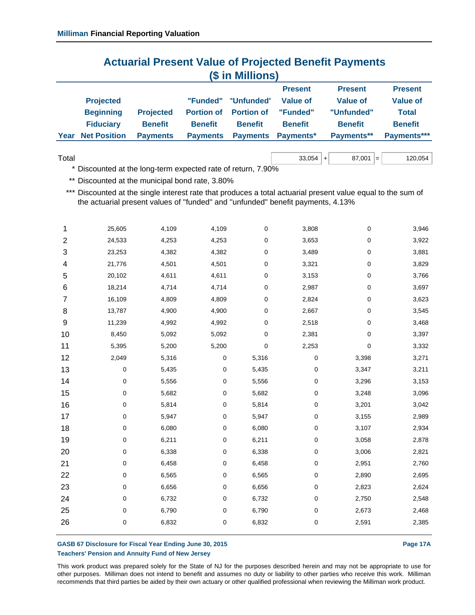## **Actuarial Present Value of Projected Benefit Payments (\$ in Millions)**

|      |                     |                  |                 |                              | <b>Present</b>   | <b>Present</b> | <b>Present</b>  |
|------|---------------------|------------------|-----------------|------------------------------|------------------|----------------|-----------------|
|      | <b>Projected</b>    |                  | "Funded"        | "Unfunded"                   | Value of         | Value of       | <b>Value of</b> |
|      | <b>Beginning</b>    | <b>Projected</b> |                 | <b>Portion of Portion of</b> | "Funded"         | "Unfunded"     | <b>Total</b>    |
|      | <b>Fiduciary</b>    | <b>Benefit</b>   | <b>Benefit</b>  | <b>Benefit</b>               | <b>Benefit</b>   | <b>Benefit</b> | <b>Benefit</b>  |
| Year | <b>Net Position</b> | <b>Payments</b>  | <b>Payments</b> | <b>Payments</b>              | <b>Payments*</b> | Payments**     | Payments***     |

 $\textsf{Total} \quad 33,054 \texttt{+} \quad 87,001 \texttt{=} \quad 120,054$ 

\* Discounted at the long-term expected rate of return, 7.90%

\*\* Discounted at the municipal bond rate, 3.80%

\*\*\* Discounted at the single interest rate that produces a total actuarial present value equal to the sum of the actuarial present values of ''funded'' and ''unfunded'' benefit payments, 4.13%

| 1              | 25,605      | 4,109 | 4,109     | 0     | 3,808 | 0     | 3,946 |
|----------------|-------------|-------|-----------|-------|-------|-------|-------|
| $\overline{c}$ | 24,533      | 4,253 | 4,253     | 0     | 3,653 | 0     | 3,922 |
| 3              | 23,253      | 4,382 | 4,382     | 0     | 3,489 | 0     | 3,881 |
| 4              | 21,776      | 4,501 | 4,501     | 0     | 3,321 | 0     | 3,829 |
| 5              | 20,102      | 4,611 | 4,611     | 0     | 3,153 | 0     | 3,766 |
| 6              | 18,214      | 4,714 | 4,714     | 0     | 2,987 | 0     | 3,697 |
| 7              | 16,109      | 4,809 | 4,809     | 0     | 2,824 | 0     | 3,623 |
| 8              | 13,787      | 4,900 | 4,900     | 0     | 2,667 | 0     | 3,545 |
| 9              | 11,239      | 4,992 | 4,992     | 0     | 2,518 | 0     | 3,468 |
| 10             | 8,450       | 5,092 | 5,092     | 0     | 2,381 | 0     | 3,397 |
| 11             | 5,395       | 5,200 | 5,200     | 0     | 2,253 | 0     | 3,332 |
| 12             | 2,049       | 5,316 | 0         | 5,316 | 0     | 3,398 | 3,271 |
| 13             | $\mathbf 0$ | 5,435 | 0         | 5,435 | 0     | 3,347 | 3,211 |
| 14             | 0           | 5,556 | $\pmb{0}$ | 5,556 | 0     | 3,296 | 3,153 |
| 15             | 0           | 5,682 | 0         | 5,682 | 0     | 3,248 | 3,096 |
| 16             | 0           | 5,814 | 0         | 5,814 | 0     | 3,201 | 3,042 |
| 17             | 0           | 5,947 | 0         | 5,947 | 0     | 3,155 | 2,989 |
| 18             | 0           | 6,080 | $\pmb{0}$ | 6,080 | 0     | 3,107 | 2,934 |
| 19             | 0           | 6,211 | 0         | 6,211 | 0     | 3,058 | 2,878 |
| 20             | 0           | 6,338 | $\pmb{0}$ | 6,338 | 0     | 3,006 | 2,821 |
| 21             | 0           | 6,458 | 0         | 6,458 | 0     | 2,951 | 2,760 |
| 22             | 0           | 6,565 | 0         | 6,565 | 0     | 2,890 | 2,695 |
| 23             | 0           | 6,656 | 0         | 6,656 | 0     | 2,823 | 2,624 |
| 24             | 0           | 6,732 | $\pmb{0}$ | 6,732 | 0     | 2,750 | 2,548 |
| 25             | 0           | 6,790 | 0         | 6,790 | 0     | 2,673 | 2,468 |
| 26             | 0           | 6,832 | 0         | 6,832 | 0     | 2,591 | 2,385 |
|                |             |       |           |       |       |       |       |

#### GASB 67 Disclosure for Fiscal Year Ending June 30, 2015 **Page 17A** Page 17A **Teachers' Pension and Annuity Fund of New Jersey**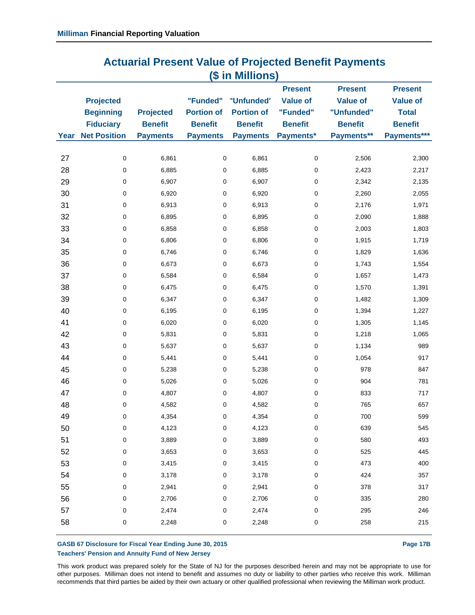| <b>Actuarial Present Value of Projected Benefit Payments</b> |  |
|--------------------------------------------------------------|--|
| (\$ in Millions)                                             |  |

|      |                     |                  |                   |                   | <b>Present</b>  | <b>Present</b>  | <b>Present</b>  |
|------|---------------------|------------------|-------------------|-------------------|-----------------|-----------------|-----------------|
|      | <b>Projected</b>    |                  | "Funded"          | "Unfunded"        | <b>Value of</b> | <b>Value of</b> | <b>Value of</b> |
|      | <b>Beginning</b>    | <b>Projected</b> | <b>Portion of</b> | <b>Portion of</b> | "Funded"        | "Unfunded"      | <b>Total</b>    |
|      | <b>Fiduciary</b>    | <b>Benefit</b>   | <b>Benefit</b>    | <b>Benefit</b>    | <b>Benefit</b>  | <b>Benefit</b>  | <b>Benefit</b>  |
| Year | <b>Net Position</b> | <b>Payments</b>  | <b>Payments</b>   | <b>Payments</b>   | Payments*       | Payments**      | Payments***     |
|      |                     |                  |                   |                   |                 |                 |                 |
| 27   | $\mathbf 0$         | 6,861            | $\mathsf 0$       | 6,861             | $\pmb{0}$       | 2,506           | 2,300           |
| 28   | 0                   | 6,885            | 0                 | 6,885             | $\mathbf 0$     | 2,423           | 2,217           |
| 29   | 0                   | 6,907            | $\mathbf 0$       | 6,907             | $\pmb{0}$       | 2,342           | 2,135           |
| 30   | 0                   | 6,920            | $\mathbf 0$       | 6,920             | $\mathbf 0$     | 2,260           | 2,055           |
| 31   | 0                   | 6,913            | 0                 | 6,913             | $\pmb{0}$       | 2,176           | 1,971           |
| 32   | 0                   | 6,895            | $\pmb{0}$         | 6,895             | $\mathbf 0$     | 2,090           | 1,888           |
| 33   | 0                   | 6,858            | $\pmb{0}$         | 6,858             | $\pmb{0}$       | 2,003           | 1,803           |
| 34   | 0                   | 6,806            | $\mathbf 0$       | 6,806             | $\mathbf 0$     | 1,915           | 1,719           |
| 35   | 0                   | 6,746            | 0                 | 6,746             | $\pmb{0}$       | 1,829           | 1,636           |
| 36   | 0                   | 6,673            | 0                 | 6,673             | $\pmb{0}$       | 1,743           | 1,554           |
| 37   | 0                   | 6,584            | 0                 | 6,584             | $\pmb{0}$       | 1,657           | 1,473           |
| 38   | 0                   | 6,475            | 0                 | 6,475             | $\mathbf 0$     | 1,570           | 1,391           |
| 39   | 0                   | 6,347            | 0                 | 6,347             | $\pmb{0}$       | 1,482           | 1,309           |
| 40   | 0                   | 6,195            | $\pmb{0}$         | 6,195             | $\mathbf 0$     | 1,394           | 1,227           |
| 41   | 0                   | 6,020            | 0                 | 6,020             | 0               | 1,305           | 1,145           |
| 42   | 0                   | 5,831            | 0                 | 5,831             | $\mathbf 0$     | 1,218           | 1,065           |
| 43   | 0                   | 5,637            | 0                 | 5,637             | 0               | 1,134           | 989             |
| 44   | 0                   | 5,441            | 0                 | 5,441             | 0               | 1,054           | 917             |
| 45   | 0                   | 5,238            | 0                 | 5,238             | $\mathbf 0$     | 978             | 847             |
| 46   | 0                   | 5,026            | 0                 | 5,026             | $\pmb{0}$       | 904             | 781             |
| 47   | 0                   | 4,807            | 0                 | 4,807             | $\pmb{0}$       | 833             | 717             |
| 48   | 0                   | 4,582            | $\pmb{0}$         | 4,582             | $\pmb{0}$       | 765             | 657             |
| 49   | 0                   | 4,354            | 0                 | 4,354             | $\pmb{0}$       | 700             | 599             |
| 50   | 0                   | 4,123            | 0                 | 4,123             | 0               | 639             | 545             |
| 51   | 0                   | 3,889            | 0                 | 3,889             | $\pmb{0}$       | 580             | 493             |
| 52   | $\mathsf 0$         | 3,653            | 0                 | 3,653             | $\pmb{0}$       | 525             | 445             |
| 53   | 0                   | 3,415            | 0                 | 3,415             | $\pmb{0}$       | 473             | 400             |
| 54   | 0                   | 3,178            | $\pmb{0}$         | 3,178             | $\pmb{0}$       | 424             | 357             |
| 55   | 0                   | 2,941            | $\mathbf 0$       | 2,941             | $\pmb{0}$       | 378             | 317             |
| 56   | 0                   | 2,706            | $\pmb{0}$         | 2,706             | $\pmb{0}$       | 335             | 280             |
| 57   | 0                   | 2,474            | 0                 | 2,474             | $\pmb{0}$       | 295             | 246             |
| 58   | 0                   | 2,248            | 0                 | 2,248             | $\pmb{0}$       | 258             | 215             |
|      |                     |                  |                   |                   |                 |                 |                 |

#### GASB 67 Disclosure for Fiscal Year Ending June 30, 2015 **Page 17B** Page 17B **Teachers' Pension and Annuity Fund of New Jersey**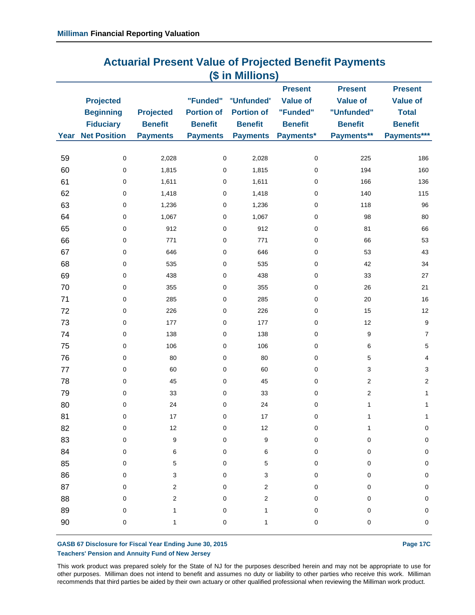| <b>Actuarial Present Value of Projected Benefit Payments</b> |  |
|--------------------------------------------------------------|--|
| (\$ in Millions)                                             |  |

|        |                     |                  |                   |                     | <b>Present</b>  | <b>Present</b>            | <b>Present</b>  |
|--------|---------------------|------------------|-------------------|---------------------|-----------------|---------------------------|-----------------|
|        | <b>Projected</b>    |                  |                   | "Funded" "Unfunded" | <b>Value of</b> | <b>Value of</b>           | <b>Value of</b> |
|        | <b>Beginning</b>    | <b>Projected</b> | <b>Portion of</b> | <b>Portion of</b>   | "Funded"        | "Unfunded"                | <b>Total</b>    |
|        | <b>Fiduciary</b>    | <b>Benefit</b>   | <b>Benefit</b>    | <b>Benefit</b>      | <b>Benefit</b>  | <b>Benefit</b>            | <b>Benefit</b>  |
| Year   | <b>Net Position</b> | <b>Payments</b>  | <b>Payments</b>   | <b>Payments</b>     | Payments*       | Payments**                | Payments***     |
|        |                     |                  |                   |                     |                 |                           |                 |
| 59     | $\mathbf 0$         | 2,028            | $\mathbf 0$       | 2,028               | $\pmb{0}$       | 225                       | 186             |
| 60     | $\mathbf 0$         | 1,815            | $\mathbf 0$       | 1,815               | $\mathbf 0$     | 194                       | 160             |
| 61     | $\mathbf 0$         | 1,611            | $\mathbf 0$       | 1,611               | 0               | 166                       | 136             |
| 62     | $\mathbf 0$         | 1,418            | $\mathbf 0$       | 1,418               | $\mathbf 0$     | 140                       | 115             |
| 63     | $\pmb{0}$           | 1,236            | $\pmb{0}$         | 1,236               | $\pmb{0}$       | 118                       | 96              |
| 64     | $\mathbf 0$         | 1,067            | $\mathbf 0$       | 1,067               | $\mathbf 0$     | 98                        | 80              |
| 65     | $\mathbf 0$         | 912              | $\mathbf 0$       | 912                 | $\pmb{0}$       | 81                        | 66              |
| 66     | $\mathbf 0$         | 771              | $\mathbf 0$       | 771                 | $\mathbf 0$     | 66                        | 53              |
| 67     | $\mathbf 0$         | 646              | 0                 | 646                 | $\mathbf 0$     | 53                        | 43              |
| 68     | $\mathbf 0$         | 535              | $\mathbf 0$       | 535                 | $\mathbf 0$     | 42                        | 34              |
| 69     | $\mathbf 0$         | 438              | $\mathbf 0$       | 438                 | $\mathbf 0$     | 33                        | 27              |
| 70     | $\mathbf 0$         | 355              | $\mathbf 0$       | 355                 | $\mathbf 0$     | 26                        | 21              |
| 71     | $\mathbf 0$         | 285              | $\mathbf 0$       | 285                 | $\mathbf 0$     | 20                        | 16              |
| 72     | $\mathbf 0$         | 226              | $\mathbf 0$       | 226                 | $\mathbf 0$     | 15                        | 12              |
| 73     | $\mathbf 0$         | 177              | $\mathbf 0$       | 177                 | $\mathbf 0$     | 12                        | 9               |
| 74     | $\mathbf 0$         | 138              | 0                 | 138                 | $\mathbf 0$     | $\boldsymbol{9}$          | $\overline{7}$  |
| 75     | $\mathbf 0$         | 106              | 0                 | 106                 | $\mathbf 0$     | $\,6\,$                   | 5               |
| 76     | 0                   | 80               | $\mathbf 0$       | 80                  | $\mathbf 0$     | $\mathbf 5$               | $\overline{4}$  |
| $77$   | $\mathbf 0$         | 60               | $\mathbf 0$       | 60                  | $\mathbf 0$     | $\ensuremath{\mathsf{3}}$ | 3               |
| 78     | $\pmb{0}$           | 45               | 0                 | 45                  | $\pmb{0}$       | $\mathbf 2$               | $\overline{2}$  |
| 79     | $\mathbf 0$         | 33               | $\mathbf 0$       | 33                  | $\pmb{0}$       | $\sqrt{2}$                | $\mathbf{1}$    |
| 80     | $\pmb{0}$           | 24               | $\mathbf 0$       | 24                  | $\pmb{0}$       | $\mathbf{1}$              | $\mathbf{1}$    |
| 81     | $\pmb{0}$           | 17               | 0                 | 17                  | $\pmb{0}$       | $\mathbf{1}$              | $\mathbf{1}$    |
| 82     | $\mathbf 0$         | 12               | 0                 | 12                  | 0               | 1                         | $\pmb{0}$       |
| 83     | $\mathbf 0$         | 9                | 0                 | 9                   | 0               | 0                         | 0               |
| 84     | 0                   | 6                | 0                 | 6                   | 0               | 0                         | $\pmb{0}$       |
| 85     | $\pmb{0}$           | 5                | 0                 | 5                   | 0               | 0                         | $\pmb{0}$       |
| 86     | 0                   | 3                | 0                 | 3                   | 0               | 0                         | $\pmb{0}$       |
| 87     | $\mathbf 0$         | $\mathbf 2$      | 0                 | 2                   | 0               | 0                         | $\pmb{0}$       |
| 88     | 0                   | $\mathbf 2$      | 0                 | 2                   | 0               | 0                         | $\pmb{0}$       |
| 89     | $\pmb{0}$           | 1                | 0                 | 1                   | 0               | 0                         | $\pmb{0}$       |
| $90\,$ | 0                   | $\mathbf{1}$     | $\pmb{0}$         | 1                   | $\pmb{0}$       | 0                         | $\pmb{0}$       |
|        |                     |                  |                   |                     |                 |                           |                 |

#### GASB 67 Disclosure for Fiscal Year Ending June 30, 2015 **Page 17C Teachers' Pension and Annuity Fund of New Jersey**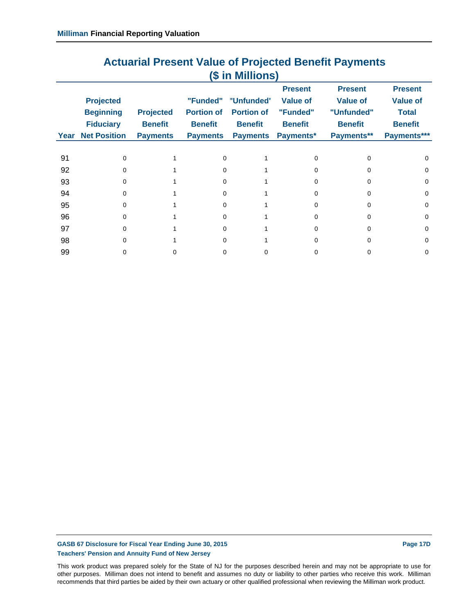| (\$ in Millions) |                                                          |                                    |                                                 |                                                   |                                                                 |                                                                   |                                                                     |
|------------------|----------------------------------------------------------|------------------------------------|-------------------------------------------------|---------------------------------------------------|-----------------------------------------------------------------|-------------------------------------------------------------------|---------------------------------------------------------------------|
|                  | <b>Projected</b><br><b>Beginning</b><br><b>Fiduciary</b> | <b>Projected</b><br><b>Benefit</b> | "Funded"<br><b>Portion of</b><br><b>Benefit</b> | "Unfunded"<br><b>Portion of</b><br><b>Benefit</b> | <b>Present</b><br><b>Value of</b><br>"Funded"<br><b>Benefit</b> | <b>Present</b><br><b>Value of</b><br>"Unfunded"<br><b>Benefit</b> | <b>Present</b><br><b>Value of</b><br><b>Total</b><br><b>Benefit</b> |
| Year             | <b>Net Position</b>                                      | <b>Payments</b>                    | <b>Payments</b>                                 | <b>Payments</b>                                   | Payments*                                                       | Payments**                                                        | Payments***                                                         |
| 91               | $\Omega$                                                 |                                    | $\Omega$                                        |                                                   | 0                                                               | o                                                                 | $\Omega$                                                            |
| 92               | O                                                        |                                    | <sup>0</sup>                                    |                                                   | n                                                               | o                                                                 | $\Omega$                                                            |
| 93               | $\Omega$                                                 |                                    | $\Omega$                                        |                                                   | U                                                               | U                                                                 | $\Omega$                                                            |
| 94               | 0                                                        |                                    | $\Omega$                                        |                                                   | <sup>0</sup>                                                    | 0                                                                 | 0                                                                   |
| 95               | O                                                        |                                    | <sup>0</sup>                                    |                                                   | U                                                               | n                                                                 | $\Omega$                                                            |
| 96               | <sup>0</sup>                                             |                                    | $\Omega$                                        |                                                   | U                                                               | U                                                                 | $\Omega$                                                            |
| 97               | 0                                                        |                                    | $\Omega$                                        |                                                   | <sup>0</sup>                                                    | 0                                                                 | 0                                                                   |
| 98               | O                                                        |                                    | <sup>0</sup>                                    |                                                   | n                                                               | n                                                                 | $\Omega$                                                            |
| 99               | O                                                        | Ω                                  | 0                                               |                                                   |                                                                 | 0                                                                 | 0                                                                   |

# **Actuarial Present Value of Projected Benefit Payments**

GASB 67 Disclosure for Fiscal Year Ending June 30, 2015 **Page 17D Page 17D Teachers' Pension and Annuity Fund of New Jersey**